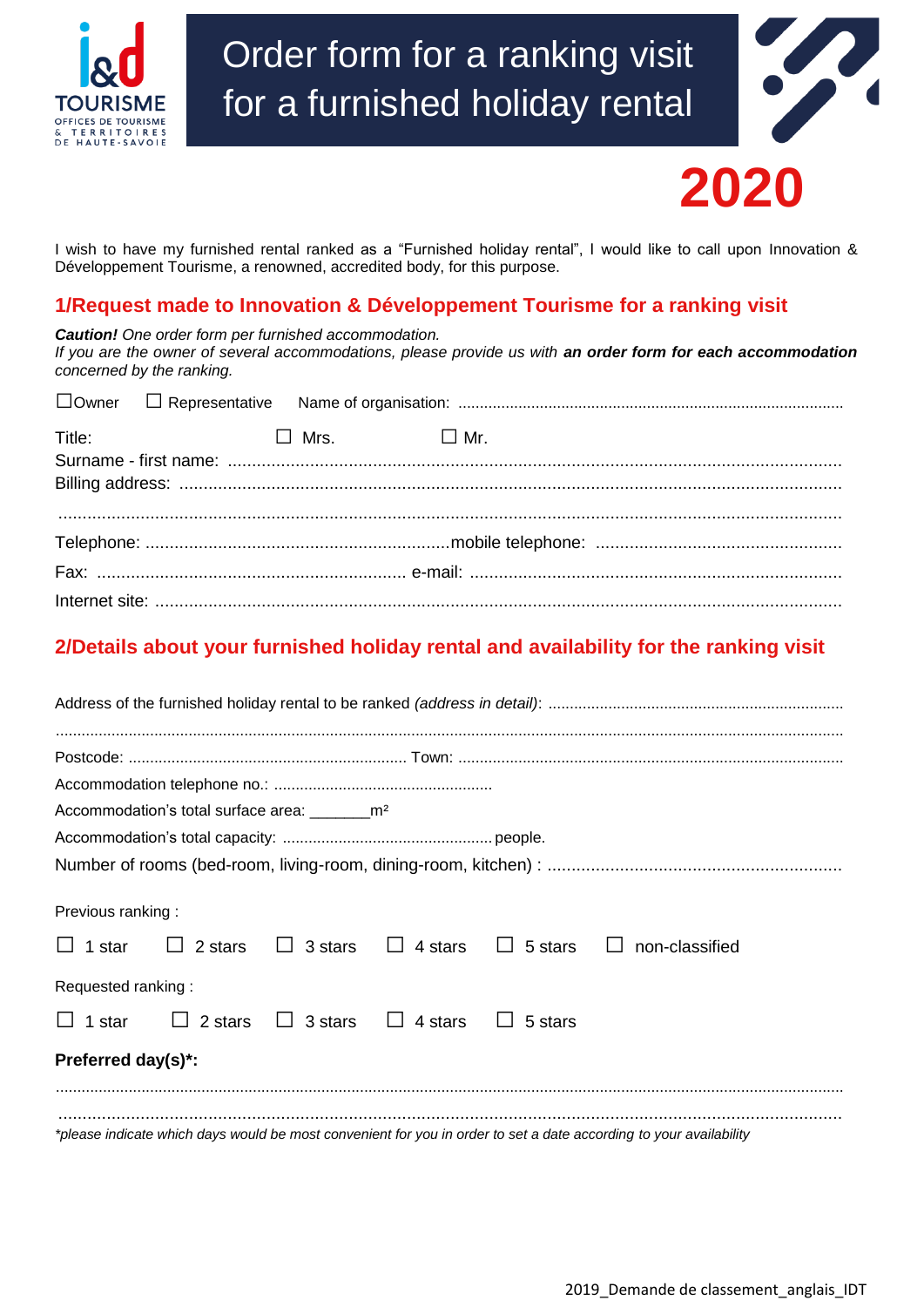

# Order form for a ranking visit for a furnished holiday rental



I wish to have my furnished rental ranked as a "Furnished holiday rental", I would like to call upon Innovation & Développement Tourisme, a renowned, accredited body, for this purpose. I wish to have my furnished rental ranked as a "Furnished holiday rental", I would like to call upon Inr<br>Développement Tourisme, a renowned, accredited body, for this purpose.<br>**1/Request made to Innovation & Développement** 

*Caution! One order form per furnished accommodation. If you are the owner of several accommodations, please provide us with an order form for each accommodation concerned by the ranking.*

| Title: | $\Box$ Mrs. $\Box$ Mr. |  |  |
|--------|------------------------|--|--|
|        |                        |  |  |
|        |                        |  |  |

### **2/Details about your furnished holiday rental and availability for the ranking visit**

| Accommodation's total surface area: __________m <sup>2</sup>              |  |  |  |  |                                                                                                                    |  |  |
|---------------------------------------------------------------------------|--|--|--|--|--------------------------------------------------------------------------------------------------------------------|--|--|
|                                                                           |  |  |  |  |                                                                                                                    |  |  |
|                                                                           |  |  |  |  |                                                                                                                    |  |  |
| Previous ranking:                                                         |  |  |  |  |                                                                                                                    |  |  |
|                                                                           |  |  |  |  | $\Box$ 1 star $\Box$ 2 stars $\Box$ 3 stars $\Box$ 4 stars $\Box$ 5 stars $\Box$ non-classified                    |  |  |
| Requested ranking:                                                        |  |  |  |  |                                                                                                                    |  |  |
| $\Box$ 1 star $\Box$ 2 stars $\Box$ 3 stars $\Box$ 4 stars $\Box$ 5 stars |  |  |  |  |                                                                                                                    |  |  |
| Preferred day(s)*:                                                        |  |  |  |  |                                                                                                                    |  |  |
|                                                                           |  |  |  |  | *please indicate which days would be most convenient for you in order to set a date according to your availability |  |  |